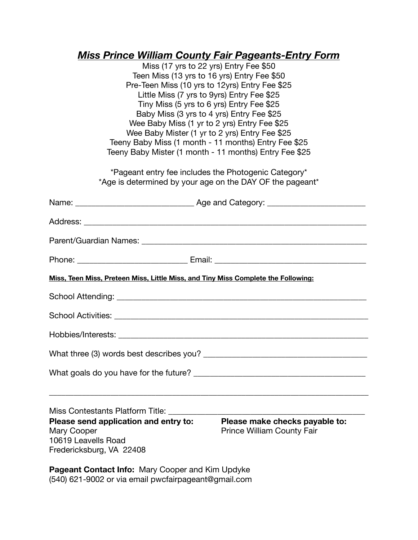#### *Miss Prince William County Fair Pageants-Entry Form*

Miss (17 yrs to 22 yrs) Entry Fee \$50 Teen Miss (13 yrs to 16 yrs) Entry Fee \$50 Pre-Teen Miss (10 yrs to 12yrs) Entry Fee \$25 Little Miss (7 yrs to 9yrs) Entry Fee \$25 Tiny Miss (5 yrs to 6 yrs) Entry Fee \$25 Baby Miss (3 yrs to 4 yrs) Entry Fee \$25 Wee Baby Miss (1 yr to 2 yrs) Entry Fee \$25 Wee Baby Mister (1 yr to 2 yrs) Entry Fee \$25 Teeny Baby Miss (1 month - 11 months) Entry Fee \$25 Teeny Baby Mister (1 month - 11 months) Entry Fee \$25 \*Pageant entry fee includes the Photogenic Category\* \*Age is determined by your age on the DAY OF the pageant\* Name: \_\_\_\_\_\_\_\_\_\_\_\_\_\_\_\_\_\_\_\_\_\_\_\_\_\_\_\_\_ Age and Category: \_\_\_\_\_\_\_\_\_\_\_\_\_\_\_\_\_\_\_\_\_\_\_\_ Address: \_\_\_\_\_\_\_\_\_\_\_\_\_\_\_\_\_\_\_\_\_\_\_\_\_\_\_\_\_\_\_\_\_\_\_\_\_\_\_\_\_\_\_\_\_\_\_\_\_\_\_\_\_\_\_\_\_\_\_\_\_\_\_\_\_\_\_\_\_ Parent/Guardian Names: \_\_\_\_\_\_\_\_\_\_\_\_\_\_\_\_\_\_\_\_\_\_\_\_\_\_\_\_\_\_\_\_\_\_\_\_\_\_\_\_\_\_\_\_\_\_\_\_\_\_\_\_\_\_\_ Phone: Email: **Email:**  $\blacksquare$ **Miss, Teen Miss, Preteen Miss, Little Miss, and Tiny Miss Complete the Following:**  School Attending: \_\_\_\_\_\_\_\_\_\_\_\_\_\_\_\_\_\_\_\_\_\_\_\_\_\_\_\_\_\_\_\_\_\_\_\_\_\_\_\_\_\_\_\_\_\_\_\_\_\_\_\_\_\_\_\_\_\_\_\_\_ School Activities: \_\_\_\_\_\_\_\_\_\_\_\_\_\_\_\_\_\_\_\_\_\_\_\_\_\_\_\_\_\_\_\_\_\_\_\_\_\_\_\_\_\_\_\_\_\_\_\_\_\_\_\_\_\_\_\_\_\_\_\_\_\_ Hobbies/Interests: \_\_\_\_\_\_\_\_\_\_\_\_\_\_\_\_\_\_\_\_\_\_\_\_\_\_\_\_\_\_\_\_\_\_\_\_\_\_\_\_\_\_\_\_\_\_\_\_\_\_\_\_\_\_\_\_\_\_\_\_\_ What three (3) words best describes you? What goals do you have for the future? \_\_\_\_\_\_\_\_\_\_\_\_\_\_\_\_\_\_\_\_\_\_\_\_\_\_\_\_\_\_\_\_\_\_\_\_\_\_\_\_\_\_ \_\_\_\_\_\_\_\_\_\_\_\_\_\_\_\_\_\_\_\_\_\_\_\_\_\_\_\_\_\_\_\_\_\_\_\_\_\_\_\_\_\_\_\_\_\_\_\_\_\_\_\_\_\_\_\_\_\_\_\_\_\_\_\_\_\_\_\_\_\_\_\_\_\_\_\_\_\_ Miss Contestants Platform Title: **Please send application and entry to: Please make checks payable to:** Mary Cooper **Cooper Cooper Cooper Cooper Cooper Cooper Cooper Cooper Cooper Cooper Cooper Cooper Cooper Cooper Cooper Cooper Cooper Cooper Cooper Cooper Cooper Cooper Cooper** 10619 Leavells Road Fredericksburg, VA 22408

**Pageant Contact Info:** Mary Cooper and Kim Updyke (540) 621-9002 or via email pwcfairpageant@gmail.com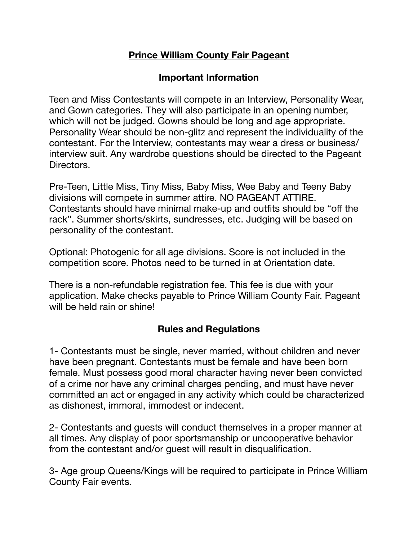## **Prince William County Fair Pageant**

## **Important Information**

Teen and Miss Contestants will compete in an Interview, Personality Wear, and Gown categories. They will also participate in an opening number, which will not be judged. Gowns should be long and age appropriate. Personality Wear should be non-glitz and represent the individuality of the contestant. For the Interview, contestants may wear a dress or business/ interview suit. Any wardrobe questions should be directed to the Pageant Directors.

Pre-Teen, Little Miss, Tiny Miss, Baby Miss, Wee Baby and Teeny Baby divisions will compete in summer attire. NO PAGEANT ATTIRE. Contestants should have minimal make-up and outfits should be "off the rack". Summer shorts/skirts, sundresses, etc. Judging will be based on personality of the contestant.

Optional: Photogenic for all age divisions. Score is not included in the competition score. Photos need to be turned in at Orientation date.

There is a non-refundable registration fee. This fee is due with your application. Make checks payable to Prince William County Fair. Pageant will be held rain or shine!

#### **Rules and Regulations**

1- Contestants must be single, never married, without children and never have been pregnant. Contestants must be female and have been born female. Must possess good moral character having never been convicted of a crime nor have any criminal charges pending, and must have never committed an act or engaged in any activity which could be characterized as dishonest, immoral, immodest or indecent.

2- Contestants and guests will conduct themselves in a proper manner at all times. Any display of poor sportsmanship or uncooperative behavior from the contestant and/or guest will result in disqualification.

3- Age group Queens/Kings will be required to participate in Prince William County Fair events.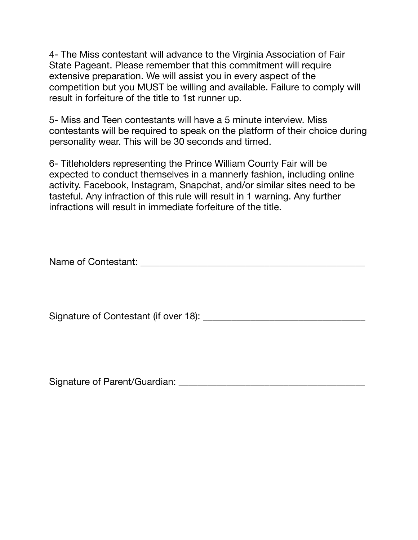4- The Miss contestant will advance to the Virginia Association of Fair State Pageant. Please remember that this commitment will require extensive preparation. We will assist you in every aspect of the competition but you MUST be willing and available. Failure to comply will result in forfeiture of the title to 1st runner up.

5- Miss and Teen contestants will have a 5 minute interview. Miss contestants will be required to speak on the platform of their choice during personality wear. This will be 30 seconds and timed.

6- Titleholders representing the Prince William County Fair will be expected to conduct themselves in a mannerly fashion, including online activity. Facebook, Instagram, Snapchat, and/or similar sites need to be tasteful. Any infraction of this rule will result in 1 warning. Any further infractions will result in immediate forfeiture of the title.

Name of Contestant: \_\_\_\_\_\_\_\_\_\_\_\_\_\_\_\_\_\_\_\_\_\_\_\_\_\_\_\_\_\_\_\_\_\_\_\_\_\_\_\_\_\_\_\_\_\_\_

Signature of Contestant (if over 18): \_\_\_\_\_\_\_\_\_\_\_\_\_\_\_\_\_\_\_\_\_\_\_\_\_\_\_\_\_\_\_\_\_\_

Signature of Parent/Guardian: \_\_\_\_\_\_\_\_\_\_\_\_\_\_\_\_\_\_\_\_\_\_\_\_\_\_\_\_\_\_\_\_\_\_\_\_\_\_\_